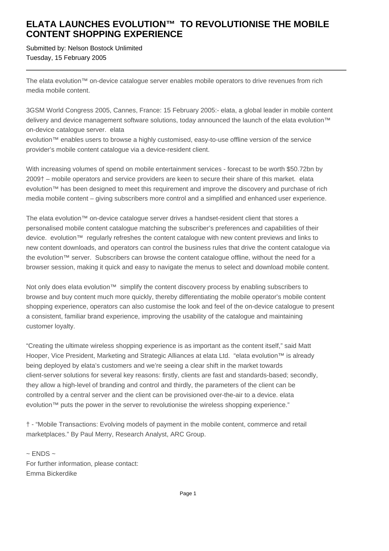## **ELATA LAUNCHES EVOLUTION™ TO REVOLUTIONISE THE MOBILE CONTENT SHOPPING EXPERIENCE**

Submitted by: Nelson Bostock Unlimited Tuesday, 15 February 2005

The elata evolution™ on-device catalogue server enables mobile operators to drive revenues from rich media mobile content.

3GSM World Congress 2005, Cannes, France: 15 February 2005:- elata, a global leader in mobile content delivery and device management software solutions, today announced the launch of the elata evolution™ on-device catalogue server. elata

evolution™ enables users to browse a highly customised, easy-to-use offline version of the service provider's mobile content catalogue via a device-resident client.

With increasing volumes of spend on mobile entertainment services - forecast to be worth \$50.72bn by 2009† – mobile operators and service providers are keen to secure their share of this market. elata evolution™ has been designed to meet this requirement and improve the discovery and purchase of rich media mobile content – giving subscribers more control and a simplified and enhanced user experience.

The elata evolution™ on-device catalogue server drives a handset-resident client that stores a personalised mobile content catalogue matching the subscriber's preferences and capabilities of their device. evolution™ regularly refreshes the content catalogue with new content previews and links to new content downloads, and operators can control the business rules that drive the content catalogue via the evolution™ server. Subscribers can browse the content catalogue offline, without the need for a browser session, making it quick and easy to navigate the menus to select and download mobile content.

Not only does elata evolution™ simplify the content discovery process by enabling subscribers to browse and buy content much more quickly, thereby differentiating the mobile operator's mobile content shopping experience, operators can also customise the look and feel of the on-device catalogue to present a consistent, familiar brand experience, improving the usability of the catalogue and maintaining customer loyalty.

"Creating the ultimate wireless shopping experience is as important as the content itself," said Matt Hooper, Vice President, Marketing and Strategic Alliances at elata Ltd. "elata evolution™ is already being deployed by elata's customers and we're seeing a clear shift in the market towards client-server solutions for several key reasons: firstly, clients are fast and standards-based; secondly, they allow a high-level of branding and control and thirdly, the parameters of the client can be controlled by a central server and the client can be provisioned over-the-air to a device. elata evolution™ puts the power in the server to revolutionise the wireless shopping experience."

† - "Mobile Transactions: Evolving models of payment in the mobile content, commerce and retail marketplaces." By Paul Merry, Research Analyst, ARC Group.

 $\sim$  ENDS  $\sim$ For further information, please contact: Emma Bickerdike